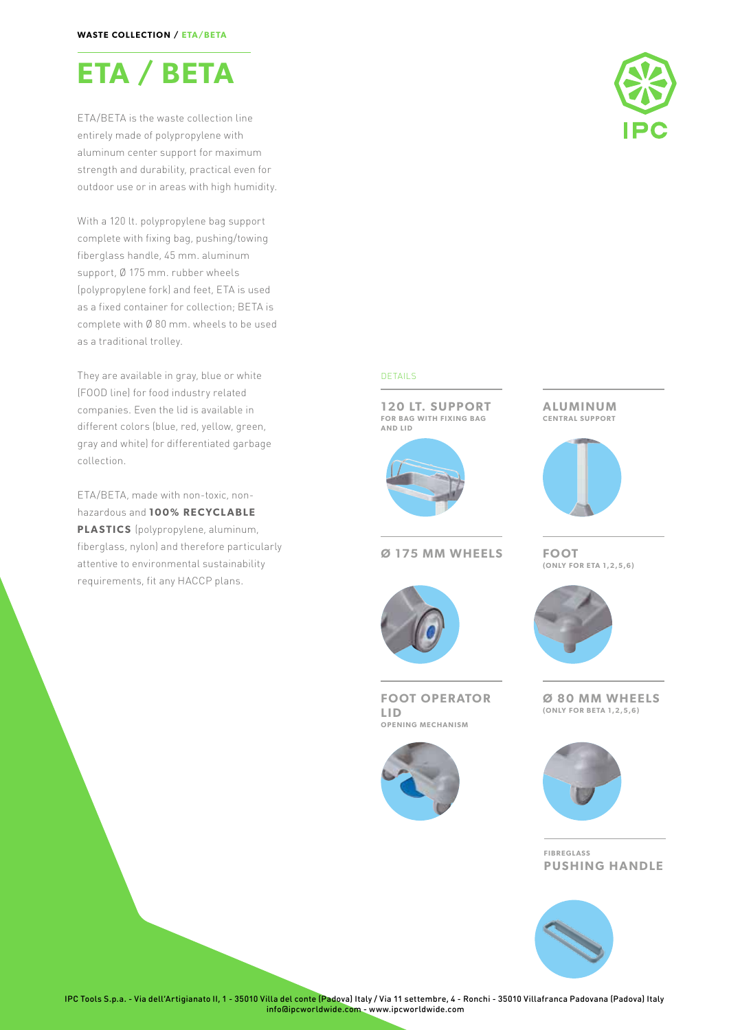

ETA/BETA is the waste collection line entirely made of polypropylene with aluminum center support for maximum strength and durability, practical even for outdoor use or in areas with high humidity.

With a 120 lt. polypropylene bag support complete with fixing bag, pushing/towing fiberglass handle, 45 mm. aluminum support, Ø 175 mm. rubber wheels (polypropylene fork) and feet, ETA is used as a fixed container for collection; BETA is complete with Ø 80 mm. wheels to be used as a traditional trolley.

They are available in gray, blue or white (FOOD line) for food industry related companies. Even the lid is available in different colors (blue, red, yellow, green, gray and white) for differentiated garbage collection.

ETA/BETA, made with non-toxic, nonhazardous and **100% RECYCLABLE PLASTICS** (polypropylene, aluminum, fiberglass, nylon) and therefore particularly attentive to environmental sustainability requirements, fit any HACCP plans.



### DETAILS

**120 LT. SUPPORT FOR BAG WITH FIXING BAG AND LID**



### **Ø 175 MM WHEELS FOOT**

**FOOT OPERATOR LID OPENING MECHANISM**



### **ALUMINUM CENTRAL SUPPORT**



# **(ONLY FOR ETA 1,2,5,6)**



**Ø 80 MM WHEELS (ONLY FOR BETA 1,2,5,6)**



**FIBREGLASS PUSHING HANDLE**